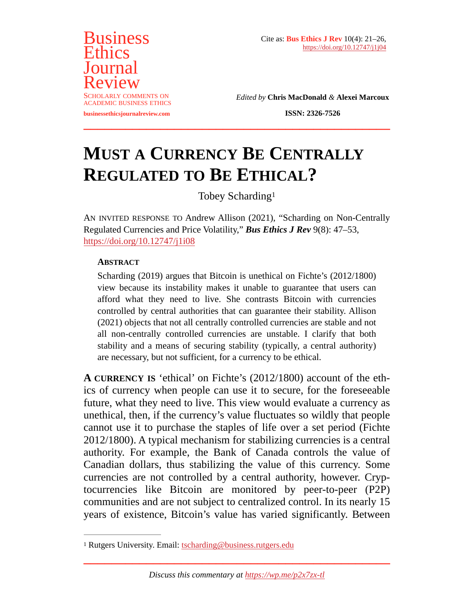

*Edited by* **Chris MacDonald** *&* **Alexei Marcoux**

**ISSN: 2326-7526**

# **MUST A CURRENCY BE CENTRALLY REGULATED TO BE ETHICAL?**

<span id="page-0-1"></span>Tobey Schardin[g1](#page-0-0)

AN INVITED RESPONSE TO Andrew Allison (2021), "Scharding on Non-Centrally Regulated Currencies and Price Volatility," *Bus Ethics J Rev* 9(8): 47–53, <https://doi.org/10.12747/j1i08>

#### **ABSTRACT**

Scharding (2019) argues that Bitcoin is unethical on Fichte's (2012/1800) view because its instability makes it unable to guarantee that users can afford what they need to live. She contrasts Bitcoin with currencies controlled by central authorities that can guarantee their stability. Allison (2021) objects that not all centrally controlled currencies are stable and not all non-centrally controlled currencies are unstable. I clarify that both stability and a means of securing stability (typically, a central authority) are necessary, but not sufficient, for a currency to be ethical.

**A CURRENCY IS** 'ethical' on Fichte's (2012/1800) account of the ethics of currency when people can use it to secure, for the foreseeable future, what they need to live. This view would evaluate a currency as unethical, then, if the currency's value fluctuates so wildly that people cannot use it to purchase the staples of life over a set period (Fichte 2012/1800). A typical mechanism for stabilizing currencies is a central authority. For example, the Bank of Canada controls the value of Canadian dollars, thus stabilizing the value of this currency. Some currencies are not controlled by a central authority, however. Cryptocurrencies like Bitcoin are monitored by peer-to-peer (P2P) communities and are not subject to centralized control. In its nearly 15 years of existence, Bitcoin's value has varied significantly. Between

**\_\_\_\_\_\_\_\_\_\_\_\_\_\_\_\_\_\_\_\_\_\_\_\_\_\_\_\_\_\_\_\_\_\_\_\_\_\_\_\_\_\_\_\_**

<span id="page-0-0"></span><sup>&</sup>lt;sup>1</sup> Rutgers University. Email: [tscharding@business.rutgers.edu](mailto:tscharding@business.rutgers.edu)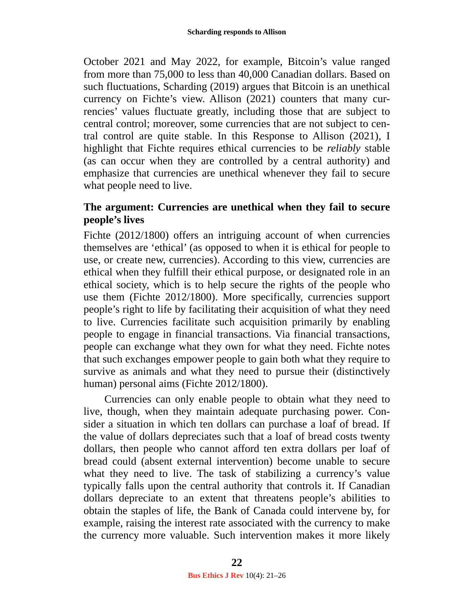October 2021 and May 2022, for example, Bitcoin's value ranged from more than 75,000 to less than 40,000 Canadian dollars. Based on such fluctuations, Scharding (2019) argues that Bitcoin is an unethical currency on Fichte's view. Allison (2021) counters that many currencies' values fluctuate greatly, including those that are subject to central control; moreover, some currencies that are not subject to central control are quite stable. In this Response to Allison (2021), I highlight that Fichte requires ethical currencies to be *reliably* stable (as can occur when they are controlled by a central authority) and emphasize that currencies are unethical whenever they fail to secure what people need to live.

#### **The argument: Currencies are unethical when they fail to secure people's lives**

Fichte (2012/1800) offers an intriguing account of when currencies themselves are 'ethical' (as opposed to when it is ethical for people to use, or create new, currencies). According to this view, currencies are ethical when they fulfill their ethical purpose, or designated role in an ethical society, which is to help secure the rights of the people who use them (Fichte 2012/1800). More specifically, currencies support people's right to life by facilitating their acquisition of what they need to live. Currencies facilitate such acquisition primarily by enabling people to engage in financial transactions. Via financial transactions, people can exchange what they own for what they need. Fichte notes that such exchanges empower people to gain both what they require to survive as animals and what they need to pursue their (distinctively human) personal aims (Fichte 2012/1800).

Currencies can only enable people to obtain what they need to live, though, when they maintain adequate purchasing power. Consider a situation in which ten dollars can purchase a loaf of bread. If the value of dollars depreciates such that a loaf of bread costs twenty dollars, then people who cannot afford ten extra dollars per loaf of bread could (absent external intervention) become unable to secure what they need to live. The task of stabilizing a currency's value typically falls upon the central authority that controls it. If Canadian dollars depreciate to an extent that threatens people's abilities to obtain the staples of life, the Bank of Canada could intervene by, for example, raising the interest rate associated with the currency to make the currency more valuable. Such intervention makes it more likely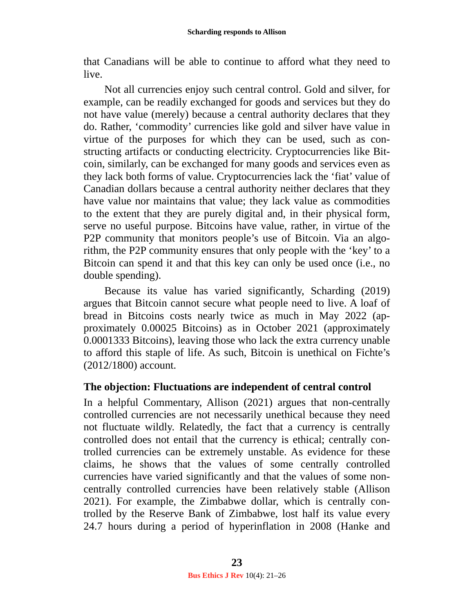that Canadians will be able to continue to afford what they need to live.

Not all currencies enjoy such central control. Gold and silver, for example, can be readily exchanged for goods and services but they do not have value (merely) because a central authority declares that they do. Rather, 'commodity' currencies like gold and silver have value in virtue of the purposes for which they can be used, such as constructing artifacts or conducting electricity. Cryptocurrencies like Bitcoin, similarly, can be exchanged for many goods and services even as they lack both forms of value. Cryptocurrencies lack the 'fiat' value of Canadian dollars because a central authority neither declares that they have value nor maintains that value; they lack value as commodities to the extent that they are purely digital and, in their physical form, serve no useful purpose. Bitcoins have value, rather, in virtue of the P2P community that monitors people's use of Bitcoin. Via an algorithm, the P2P community ensures that only people with the 'key' to a Bitcoin can spend it and that this key can only be used once (i.e., no double spending).

Because its value has varied significantly, Scharding (2019) argues that Bitcoin cannot secure what people need to live. A loaf of bread in Bitcoins costs nearly twice as much in May 2022 (approximately 0.00025 Bitcoins) as in October 2021 (approximately 0.0001333 Bitcoins), leaving those who lack the extra currency unable to afford this staple of life. As such, Bitcoin is unethical on Fichte's (2012/1800) account.

## **The objection: Fluctuations are independent of central control**

In a helpful Commentary, Allison (2021) argues that non-centrally controlled currencies are not necessarily unethical because they need not fluctuate wildly. Relatedly, the fact that a currency is centrally controlled does not entail that the currency is ethical; centrally controlled currencies can be extremely unstable. As evidence for these claims, he shows that the values of some centrally controlled currencies have varied significantly and that the values of some noncentrally controlled currencies have been relatively stable (Allison 2021). For example, the Zimbabwe dollar, which is centrally controlled by the Reserve Bank of Zimbabwe, lost half its value every 24.7 hours during a period of hyperinflation in 2008 (Hanke and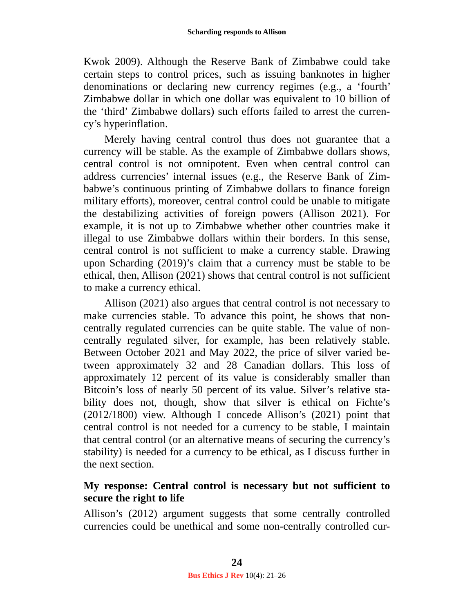Kwok 2009). Although the Reserve Bank of Zimbabwe could take certain steps to control prices, such as issuing banknotes in higher denominations or declaring new currency regimes (e.g., a 'fourth' Zimbabwe dollar in which one dollar was equivalent to 10 billion of the 'third' Zimbabwe dollars) such efforts failed to arrest the currency's hyperinflation.

Merely having central control thus does not guarantee that a currency will be stable. As the example of Zimbabwe dollars shows, central control is not omnipotent. Even when central control can address currencies' internal issues (e.g., the Reserve Bank of Zimbabwe's continuous printing of Zimbabwe dollars to finance foreign military efforts), moreover, central control could be unable to mitigate the destabilizing activities of foreign powers (Allison 2021). For example, it is not up to Zimbabwe whether other countries make it illegal to use Zimbabwe dollars within their borders. In this sense, central control is not sufficient to make a currency stable. Drawing upon Scharding (2019)'s claim that a currency must be stable to be ethical, then, Allison (2021) shows that central control is not sufficient to make a currency ethical.

Allison (2021) also argues that central control is not necessary to make currencies stable. To advance this point, he shows that noncentrally regulated currencies can be quite stable. The value of noncentrally regulated silver, for example, has been relatively stable. Between October 2021 and May 2022, the price of silver varied between approximately 32 and 28 Canadian dollars. This loss of approximately 12 percent of its value is considerably smaller than Bitcoin's loss of nearly 50 percent of its value. Silver's relative stability does not, though, show that silver is ethical on Fichte's (2012/1800) view. Although I concede Allison's (2021) point that central control is not needed for a currency to be stable, I maintain that central control (or an alternative means of securing the currency's stability) is needed for a currency to be ethical, as I discuss further in the next section.

## **My response: Central control is necessary but not sufficient to secure the right to life**

Allison's (2012) argument suggests that some centrally controlled currencies could be unethical and some non-centrally controlled cur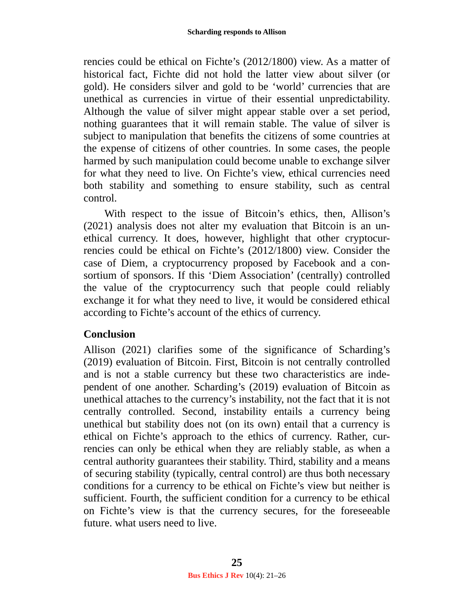rencies could be ethical on Fichte's (2012/1800) view. As a matter of historical fact, Fichte did not hold the latter view about silver (or gold). He considers silver and gold to be 'world' currencies that are unethical as currencies in virtue of their essential unpredictability. Although the value of silver might appear stable over a set period, nothing guarantees that it will remain stable. The value of silver is subject to manipulation that benefits the citizens of some countries at the expense of citizens of other countries. In some cases, the people harmed by such manipulation could become unable to exchange silver for what they need to live. On Fichte's view, ethical currencies need both stability and something to ensure stability, such as central control.

With respect to the issue of Bitcoin's ethics, then, Allison's (2021) analysis does not alter my evaluation that Bitcoin is an unethical currency. It does, however, highlight that other cryptocurrencies could be ethical on Fichte's (2012/1800) view. Consider the case of Diem, a cryptocurrency proposed by Facebook and a consortium of sponsors. If this 'Diem Association' (centrally) controlled the value of the cryptocurrency such that people could reliably exchange it for what they need to live, it would be considered ethical according to Fichte's account of the ethics of currency.

## **Conclusion**

Allison (2021) clarifies some of the significance of Scharding's (2019) evaluation of Bitcoin. First, Bitcoin is not centrally controlled and is not a stable currency but these two characteristics are independent of one another. Scharding's (2019) evaluation of Bitcoin as unethical attaches to the currency's instability, not the fact that it is not centrally controlled. Second, instability entails a currency being unethical but stability does not (on its own) entail that a currency is ethical on Fichte's approach to the ethics of currency. Rather, currencies can only be ethical when they are reliably stable, as when a central authority guarantees their stability. Third, stability and a means of securing stability (typically, central control) are thus both necessary conditions for a currency to be ethical on Fichte's view but neither is sufficient. Fourth, the sufficient condition for a currency to be ethical on Fichte's view is that the currency secures, for the foreseeable future. what users need to live.